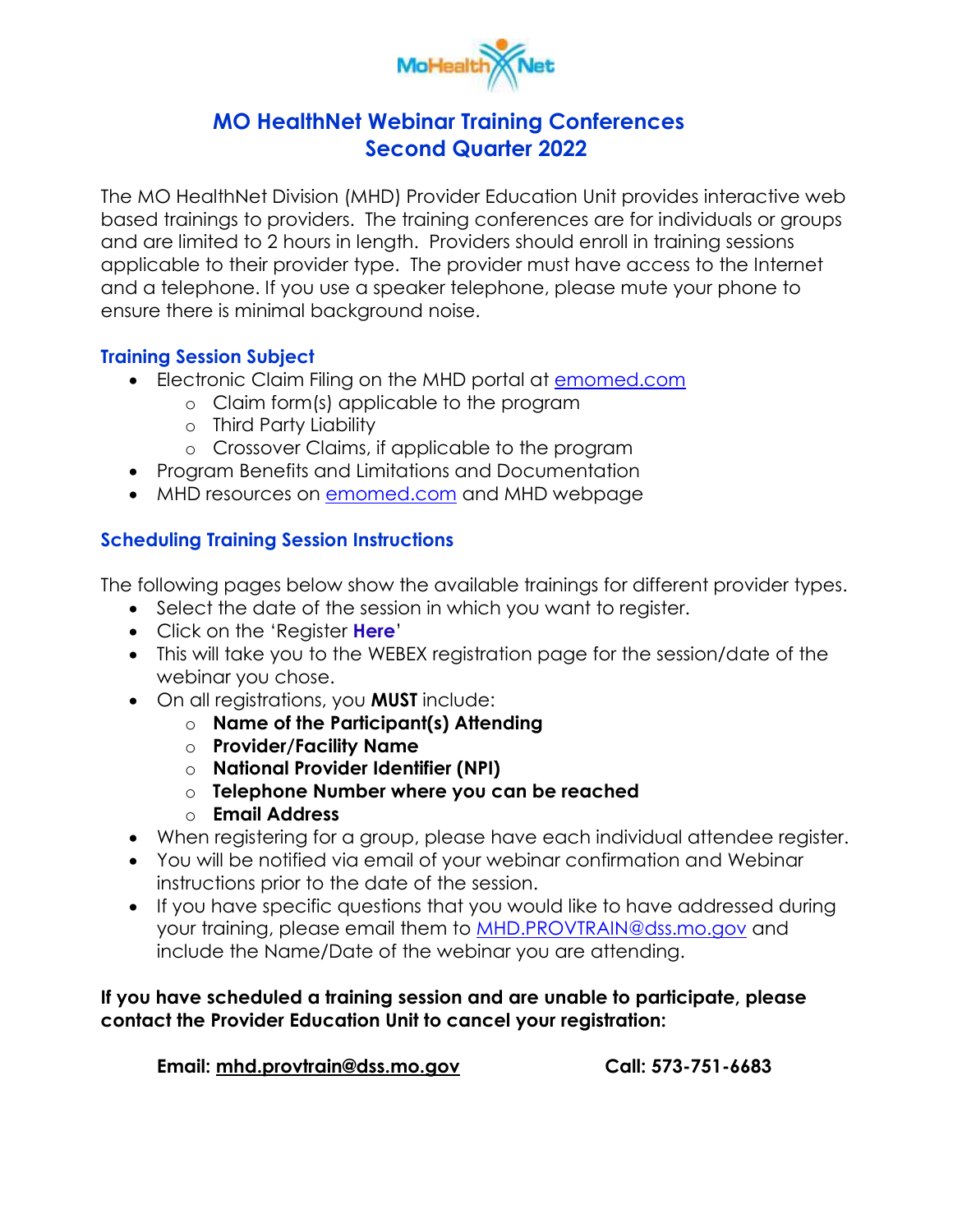

## **MO HealthNet Webinar Training Conferences Second Quarter 2022**

 based trainings to providers. The training conferences are for individuals or groups and are limited to 2 hours in length. Providers should enroll in training sessions applicable to their provider type. The provider must have access to the Internet ensure there is minimal background noise. The MO HealthNet Division (MHD) Provider Education Unit provides interactive web and a telephone. If you use a speaker telephone, please mute your phone to

#### **Training Session Subject**

- Electronic Claim Filing on the MHD portal at **emomed.com** 
	- o Claim form(s) applicable to the program
	- o Third Party Liability
	- o Crossover Claims, if applicable to the program
- Program Benefits and Limitations and Documentation
- MHD resources on **emomed.com** and MHD webpage

### **Scheduling Training Session Instructions**

The following pages below show the available trainings for different provider types.

- Select the date of the session in which you want to register.
- Click on the 'Register **Here**'
- This will take you to the WEBEX registration page for the session/date of the webinar you chose.
- On all registrations, you **MUST** include:
	- o **Name of the Participant(s) Attending**
	- o **Provider/Facility Name**
	- o **National Provider Identifier (NPI)**
	- o **Telephone Number where you can be reached**
	- o **Email Address**
- When registering for a group, please have each individual attendee register.
- instructions prior to the date of the session. You will be notified via email of your webinar confirmation and Webinar
- include the Name/Date of the webinar you are attending. If you have specific questions that you would like to have addressed during your training, please email them to [MHD.PROVTRAIN@dss.mo.gov](mailto:MHD.PROVTRAIN@dss.mo.gov) and

#### **If you have scheduled a training session and are unable to participate, please contact the Provider Education Unit to cancel your registration:**

**Email: [mhd.provtrain@dss.mo.gov](mailto:mhd.provtrain@dss.mo.gov) Call: 573-751-6683**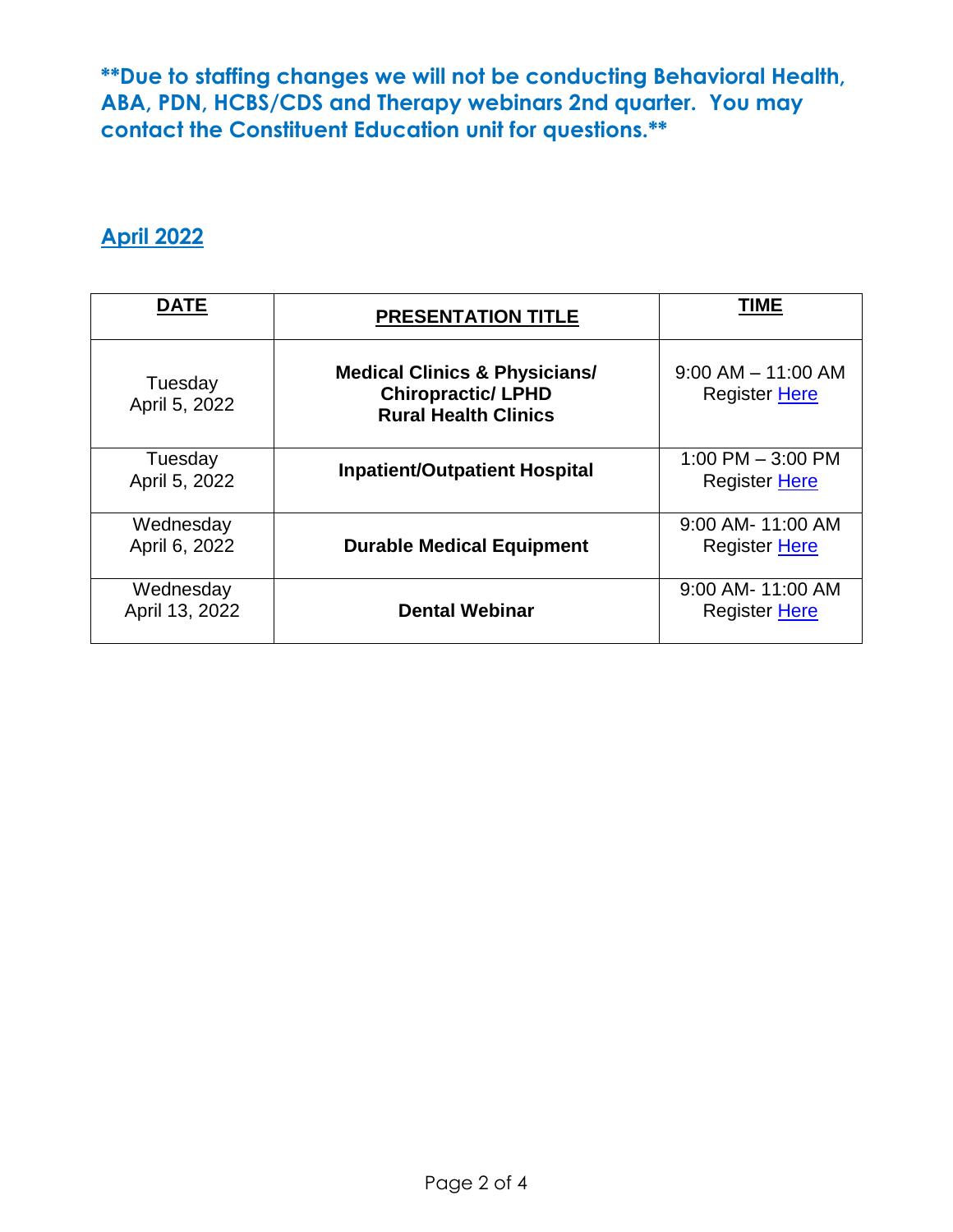**contact the Constituent Education unit for questions.\*\* April 2022 \*\*Due to staffing changes we will not be conducting Behavioral Health, ABA, PDN, HCBS/CDS and Therapy webinars 2nd quarter. You may** 

| <b>DATE</b>                 | <b>PRESENTATION TITLE</b>                                                                            | TIME                                           |
|-----------------------------|------------------------------------------------------------------------------------------------------|------------------------------------------------|
| Tuesday<br>April 5, 2022    | <b>Medical Clinics &amp; Physicians/</b><br><b>Chiropractic/ LPHD</b><br><b>Rural Health Clinics</b> | $9:00$ AM $-$ 11:00 AM<br><b>Register Here</b> |
| Tuesday<br>April 5, 2022    | <b>Inpatient/Outpatient Hospital</b>                                                                 | 1:00 PM $-$ 3:00 PM<br><b>Register Here</b>    |
| Wednesday<br>April 6, 2022  | <b>Durable Medical Equipment</b>                                                                     | 9:00 AM- 11:00 AM<br>Register Here             |
| Wednesday<br>April 13, 2022 | <b>Dental Webinar</b>                                                                                | 9:00 AM- 11:00 AM<br>Register Here             |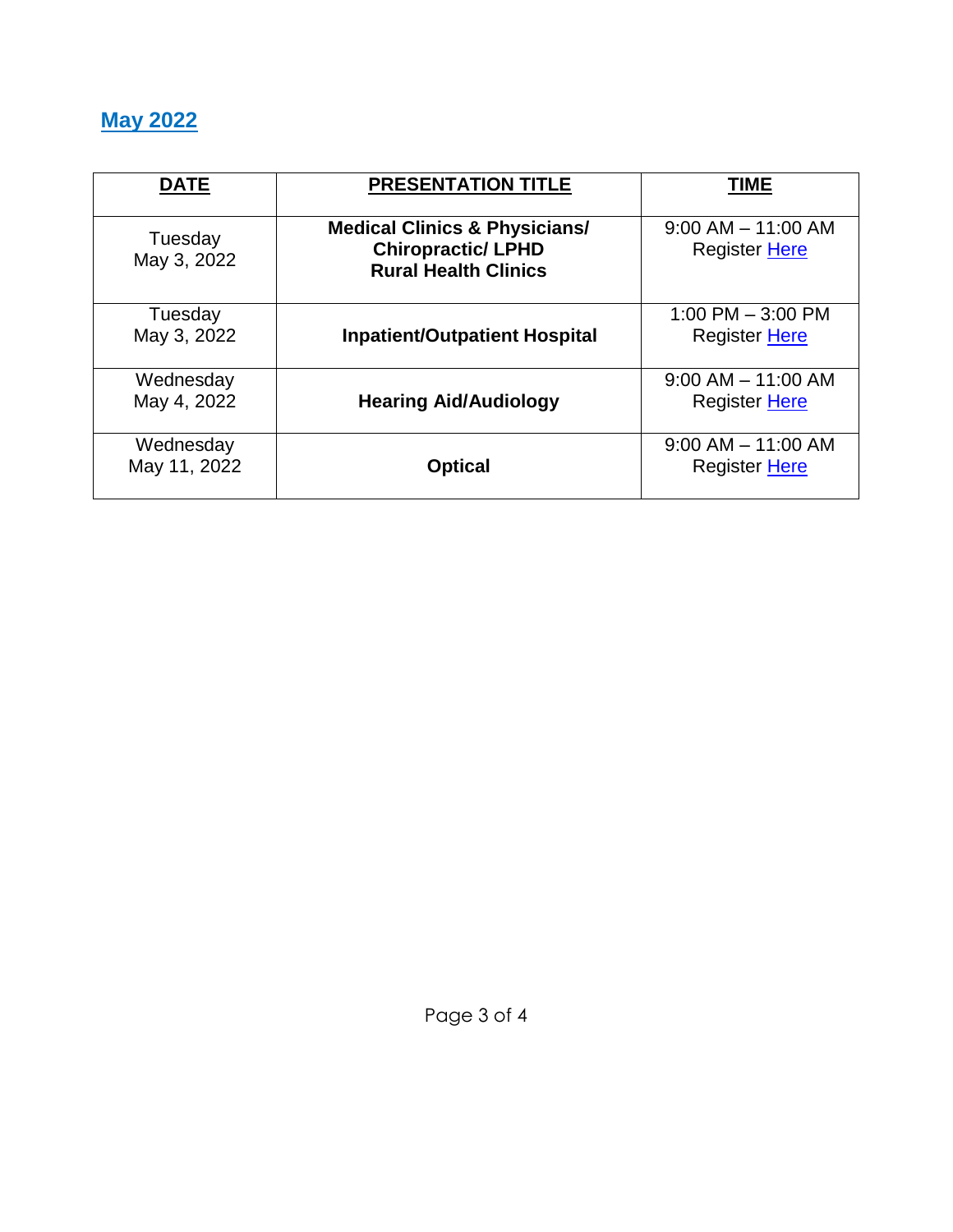# **May 2022**

| <b>DATE</b>               | <b>PRESENTATION TITLE</b>                                                                            | TIME                                           |
|---------------------------|------------------------------------------------------------------------------------------------------|------------------------------------------------|
| Tuesday<br>May 3, 2022    | <b>Medical Clinics &amp; Physicians/</b><br><b>Chiropractic/ LPHD</b><br><b>Rural Health Clinics</b> | $9:00$ AM $-$ 11:00 AM<br><b>Register Here</b> |
| Tuesday<br>May 3, 2022    | <b>Inpatient/Outpatient Hospital</b>                                                                 | 1:00 PM $-$ 3:00 PM<br><b>Register Here</b>    |
| Wednesday<br>May 4, 2022  | <b>Hearing Aid/Audiology</b>                                                                         | $9:00$ AM $-$ 11:00 AM<br>Register Here        |
| Wednesday<br>May 11, 2022 | <b>Optical</b>                                                                                       | $9:00$ AM $-$ 11:00 AM<br><b>Register Here</b> |